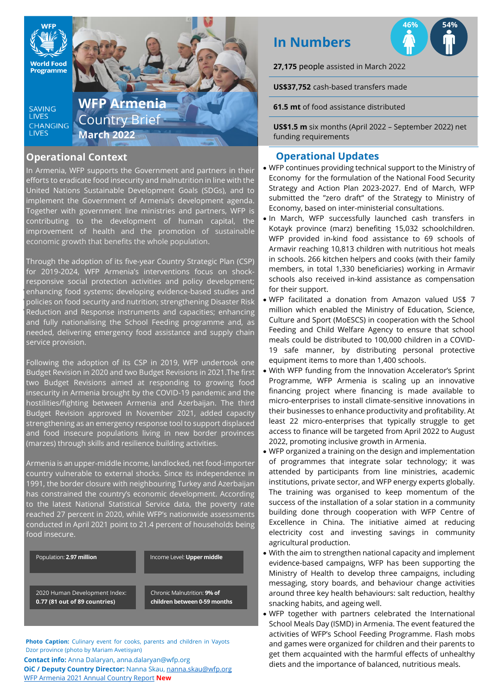

### **Operational Context**

In Armenia, WFP supports the Government and partners in their efforts to eradicate food insecurity and malnutrition in line with the United Nations Sustainable Development Goals (SDGs), and to implement the Government of Armenia's development agenda. Together with government line ministries and partners, WFP is contributing to the development of human capital, the improvement of health and the promotion of sustainable economic growth that benefits the whole population.

enhancing food systems; developing evidence-based studies and policies on food security and nutrition; strengthening Disaster Risk • Reduction and Response instruments and capacities; enhancing Through the adoption of its five-year Country Strategic Plan (CSP) for 2019-2024, WFP Armenia's interventions focus on shockresponsive social protection activities and policy development; and fully nationalising the School Feeding programme and, as needed, delivering emergency food assistance and supply chain service provision.

Following the adoption of its CSP in 2019, WFP undertook one Budget Revision in 2020 and two Budget Revisions in 2021.The first two Budget Revisions aimed at responding to growing food insecurity in Armenia brought by the COVID-19 pandemic and the hostilities/fighting between Armenia and Azerbaijan. The third Budget Revision approved in November 2021, added capacity strengthening as an emergency response tool to support displaced and food insecure populations living in new border provinces (marzes) through skills and resilience building activities.

Armenia is an upper-middle income, landlocked, net food-importer country vulnerable to external shocks. Since its independence in 1991, the border closure with neighbouring Turkey and Azerbaijan has constrained the country's economic development. According to the latest National Statistical Service data, the poverty rate reached 27 percent in 2020, while WFP's nationwide assessments conducted in April 2021 point to 21.4 percent of households being food insecure.

Population: **2.97 million Income Level: Upper middle** 

2020 Human Development Index: **0.77 (81 out of 89 countries)**

Chronic Malnutrition: **9% of children between 0-59 months**

**Photo Caption:** Culinary event for cooks, parents and children in Vayots Dzor province (photo by Mariam Avetisyan)

**Contact info:** Anna Dalaryan, anna.dalaryan@wfp.org **OiC / Deputy Country Director:** Nanna Skau[, nanna.skau@wfp.org](mailto:nanna.skau@wfp.org) WFP Armenia [2021 Annual Country Report](https://www.wfp.org/operations/annual-country-report?operation_id=AM02&year=2021#/21910) **New**

# **In Numbers**

**27,175** people assisted in March 2022

**US\$37,752** cash-based transfers made

**61.5 mt** of food assistance distributed

**US\$1.5 m** six months (April 2022 – September 2022) net funding requirements

# **Operational Updates**

- WFP continues providing technical support to the Ministry of Economy for the formulation of the National Food Security Strategy and Action Plan 2023-2027. End of March, WFP submitted the "zero draft" of the Strategy to Ministry of Economy, based on inter-ministerial consultations.
- In March, WFP successfully launched cash transfers in Kotayk province (marz) benefiting 15,032 schoolchildren. WFP provided in-kind food assistance to 69 schools of Armavir reaching 10,813 children with nutritious hot meals in schools. 266 kitchen helpers and cooks (with their family members, in total 1,330 beneficiaries) working in Armavir schools also received in-kind assistance as compensation for their support.
- WFP facilitated a donation from Amazon valued US\$ 7 million which enabled the Ministry of Education, Science, Culture and Sport (MoESCS) in cooperation with the School Feeding and Child Welfare Agency to ensure that school meals could be distributed to 100,000 children in a COVID-19 safe manner, by distributing personal protective equipment items to more than 1,400 schools.
- With WFP funding from the Innovation Accelerator's Sprint Programme, WFP Armenia is scaling up an innovative financing project where financing is made available to micro-enterprises to install climate-sensitive innovations in their businesses to enhance productivity and profitability. At least 22 micro-enterprises that typically struggle to get access to finance will be targeted from April 2022 to August 2022, promoting inclusive growth in Armenia.
- WFP organized a training on the design and implementation of programmes that integrate solar technology; it was attended by participants from line ministries, academic institutions, private sector, and WFP energy experts globally. The training was organised to keep momentum of the success of the installation of a solar station in a community building done through cooperation with WFP Centre of Excellence in China. The initiative aimed at reducing electricity cost and investing savings in community agricultural production.
- With the aim to strengthen national capacity and implement evidence-based campaigns, WFP has been supporting the Ministry of Health to develop three campaigns, including messaging, story boards, and behaviour change activities around three key health behaviours: salt reduction, healthy snacking habits, and ageing well.
- WFP together with partners celebrated the International School Meals Day (ISMD) in Armenia. The event featured the activities of WFP's School Feeding Programme. Flash mobs and games were organized for children and their parents to get them acquainted with the harmful effects of unhealthy diets and the importance of balanced, nutritious meals.